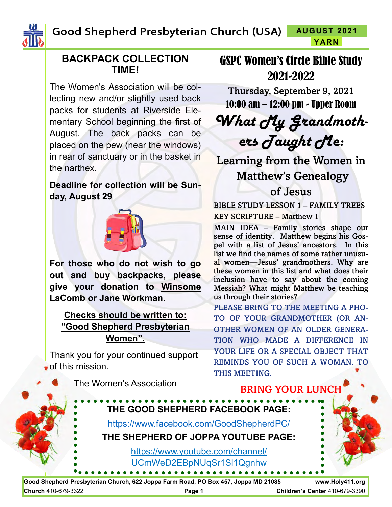Good Shepherd Presbyterian Church (USA) **AUGUST 2021 YARN**



### **BACKPACK COLLECTION TIME!**

The Women's Association will be collecting new and/or slightly used back packs for students at Riverside Elementary School beginning the first of August. The back packs can be placed on the pew (near the windows) in rear of sanctuary or in the basket in the narthex.

## **Deadline for collection will be Sunday, August 29**



**For those who do not wish to go out and buy backpacks, please give your donation to Winsome LaComb or Jane Workman.** 

**Checks should be written to: "Good Shepherd Presbyterian Women".**

Thank you for your continued support of this mission.

# GSPC Women's Circle Bible Study 2021-2022

Thursday, September 9, 2021

10:00 am – 12:00 pm - Upper Room *What My Grandmothers Taught Me:*

Learning from the Women in Matthew's Genealogy of Jesus

BIBLE STUDY LESSON 1 – FAMILY TREES

KEY SCRIPTURE – Matthew 1

MAIN IDEA – Family stories shape our sense of identity. Matthew begins his Gospel with a list of Jesus' ancestors. In this list we find the names of some rather unusual women—Jesus' grandmothers. Why are these women in this list and what does their inclusion have to say about the coming Messiah? What might Matthew be teaching us through their stories?

PLEASE BRING TO THE MEETING A PHO-TO OF YOUR GRANDMOTHER (OR AN-OTHER WOMEN OF AN OLDER GENERA-TION WHO MADE A DIFFERENCE IN YOUR LIFE OR A SPECIAL OBJECT THAT REMINDS YOU OF SUCH A WOMAN. TO THIS MEETING.

BRING YOUR LUNCH





**Church** 410-679-3322 **Page 1 Children's Center** 410-679-3390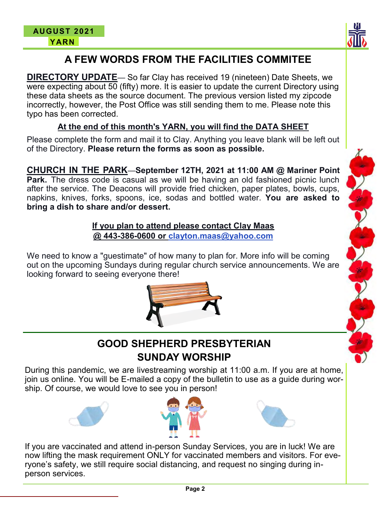

# **A FEW WORDS FROM THE FACILITIES COMMITEE**

**DIRECTORY UPDATE**— So far Clay has received 19 (nineteen) Date Sheets, we were expecting about 50 (fifty) more. It is easier to update the current Directory using these data sheets as the source document. The previous version listed my zipcode incorrectly, however, the Post Office was still sending them to me. Please note this typo has been corrected.

#### **At the end of this month's YARN, you will find the DATA SHEET**

Please complete the form and mail it to Clay. Anything you leave blank will be left out of the Directory. **Please return the forms as soon as possible.**

**CHURCH IN THE PARK**—**September 12TH, 2021 at 11:00 AM @ Mariner Point Park.** The dress code is casual as we will be having an old fashioned picnic lunch after the service. The Deacons will provide fried chicken, paper plates, bowls, cups, napkins, knives, forks, spoons, ice, sodas and bottled water. **You are asked to bring a dish to share and/or dessert.**

> **If you plan to attend please contact Clay Maas @ 443-386-0600 or clayton.maas@yahoo.com**

We need to know a "guestimate" of how many to plan for. More info will be coming out on the upcoming Sundays during regular church service announcements. We are looking forward to seeing everyone there!





During this pandemic, we are livestreaming worship at 11:00 a.m. If you are at home, join us online. You will be E-mailed a copy of the bulletin to use as a guide during worship. Of course, we would love to see you in person!







If you are vaccinated and attend in-person Sunday Services, you are in luck! We are now lifting the mask requirement ONLY for vaccinated members and visitors. For everyone's safety, we still require social distancing, and request no singing during inperson services.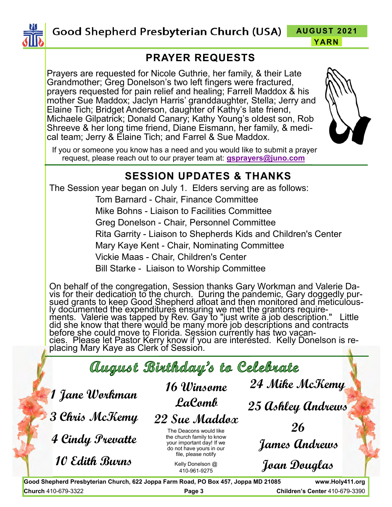

**AUGUST 2021 YARN**

## **PRAYER REQUESTS**

Prayers are requested for Nicole Guthrie, her family, & their Late Grandmother; Greg Donelson's two left fingers were fractured, prayers requested for pain relief and healing; Farrell Maddox & his mother Sue Maddox; Jaclyn Harris' granddaughter, Stella; Jerry and Elaine Tich; Bridget Anderson, daughter of Kathy's late friend, Michaele Gilpatrick; Donald Canary; Kathy Young's oldest son, Rob Shreeve & her long time friend, Diane Eismann, her family, & medical team; Jerry & Elaine Tich; and Farrel & Sue Maddox.



If you or someone you know has a need and you would like to submit a prayer request, please reach out to our prayer team at: **[gsprayers@juno.com](mailto:gsprayers@juno.com)**

## **SESSION UPDATES & THANKS**

The Session year began on July 1. Elders serving are as follows:

Tom Barnard - Chair, Finance Committee Mike Bohns - Liaison to Facilities Committee Greg Donelson - Chair, Personnel Committee Rita Garrity - Liaison to Shepherds Kids and Children's Center Mary Kaye Kent - Chair, Nominating Committee Vickie Maas - Chair, Children's Center Bill Starke - Liaison to Worship Committee

On behalf of the congregation, Session thanks Gary Workman and Valerie Davis for their dedication to the church. During the pandemic, Gary doggedly pursued grants to keep Good Shepherd afloat and then monitored and meticulously documented the expenditures ensuring we met the grantors requirements. Valerie was tapped by Rev. Gay to "just write a job description." Little did she know that there would be many more job descriptions and contracts before she could move to Florida. Session currently has two vacancies. Please let Pastor Kerry know if you are interested. Kelly Donelson is replacing Mary Kaye as Clerk of Session.

August Birthday's to Celebrate  **24 Mike McKemy 16 Winsome 1 Jane Workman LaComb 25 Ashley Andrews 3 Chris McKemy 22 Sue Maddox 26** The Deacons would like **4 Cindy Prevatte** the church family to know  **James Andrews** your important day! If we do not have yours in our file, please notify **10 Edith Burns Joan Douglas**Kelly Donelson @ 410-961-9275

**Good Shepherd Presbyterian Church, 622 Joppa Farm Road, PO Box 457, Joppa MD 21085 www.Holy411.org Church** 410-679-3322 **Page 3 Children's Center** 410-679-3390